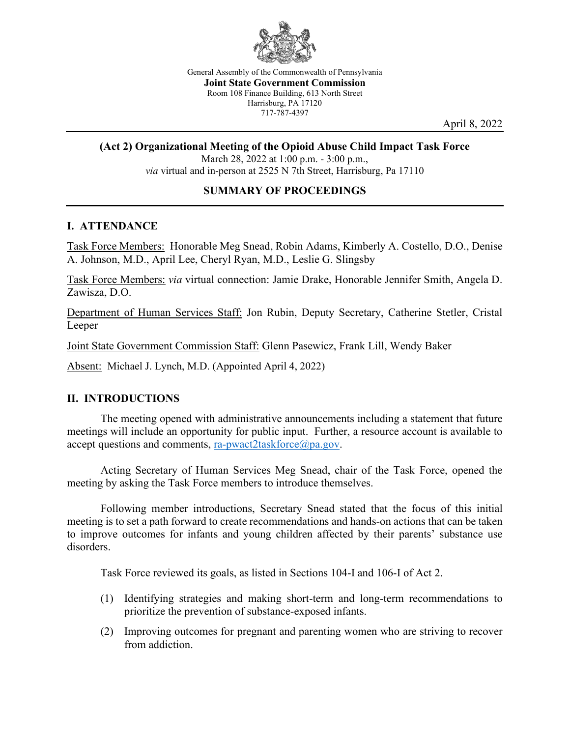

General Assembly of the Commonwealth of Pennsylvania **Joint State Government Commission** Room 108 Finance Building, 613 North Street Harrisburg, PA 17120 717-787-4397

April 8, 2022

#### **(Act 2) Organizational Meeting of the Opioid Abuse Child Impact Task Force**

March 28, 2022 at 1:00 p.m. - 3:00 p.m., *via* virtual and in-person at 2525 N 7th Street, Harrisburg, Pa 17110

#### **SUMMARY OF PROCEEDINGS**

#### **I. ATTENDANCE**

Task Force Members: Honorable Meg Snead, Robin Adams, Kimberly A. Costello, D.O., Denise A. Johnson, M.D., April Lee, Cheryl Ryan, M.D., Leslie G. Slingsby

Task Force Members: *via* virtual connection: Jamie Drake, Honorable Jennifer Smith, Angela D. Zawisza, D.O.

Department of Human Services Staff: Jon Rubin, Deputy Secretary, Catherine Stetler, Cristal Leeper

Joint State Government Commission Staff: Glenn Pasewicz, Frank Lill, Wendy Baker

Absent: Michael J. Lynch, M.D. (Appointed April 4, 2022)

#### **II. INTRODUCTIONS**

The meeting opened with administrative announcements including a statement that future meetings will include an opportunity for public input. Further, a resource account is available to accept questions and comments, [ra-pwact2taskforce@pa.gov.](mailto:ra-pwact2taskforce@pa.gov)

Acting Secretary of Human Services Meg Snead, chair of the Task Force, opened the meeting by asking the Task Force members to introduce themselves.

Following member introductions, Secretary Snead stated that the focus of this initial meeting is to set a path forward to create recommendations and hands-on actions that can be taken to improve outcomes for infants and young children affected by their parents' substance use disorders.

Task Force reviewed its goals, as listed in Sections 104-I and 106-I of Act 2.

- (1) Identifying strategies and making short-term and long-term recommendations to prioritize the prevention of substance-exposed infants.
- (2) Improving outcomes for pregnant and parenting women who are striving to recover from addiction.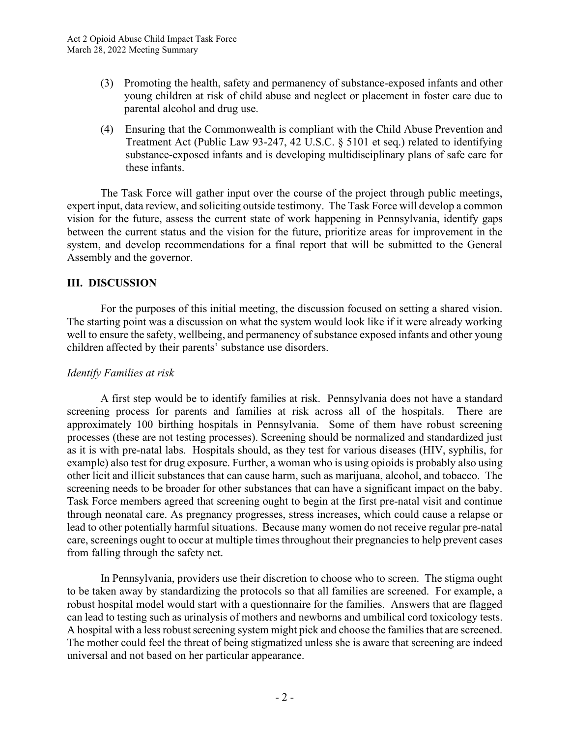- (3) Promoting the health, safety and permanency of substance-exposed infants and other young children at risk of child abuse and neglect or placement in foster care due to parental alcohol and drug use.
- (4) Ensuring that the Commonwealth is compliant with the Child Abuse Prevention and Treatment Act (Public Law 93-247, 42 U.S.C. § 5101 et seq.) related to identifying substance-exposed infants and is developing multidisciplinary plans of safe care for these infants.

The Task Force will gather input over the course of the project through public meetings, expert input, data review, and soliciting outside testimony. The Task Force will develop a common vision for the future, assess the current state of work happening in Pennsylvania, identify gaps between the current status and the vision for the future, prioritize areas for improvement in the system, and develop recommendations for a final report that will be submitted to the General Assembly and the governor.

# **III. DISCUSSION**

For the purposes of this initial meeting, the discussion focused on setting a shared vision. The starting point was a discussion on what the system would look like if it were already working well to ensure the safety, wellbeing, and permanency of substance exposed infants and other young children affected by their parents' substance use disorders.

## *Identify Families at risk*

A first step would be to identify families at risk. Pennsylvania does not have a standard screening process for parents and families at risk across all of the hospitals. There are approximately 100 birthing hospitals in Pennsylvania. Some of them have robust screening processes (these are not testing processes). Screening should be normalized and standardized just as it is with pre-natal labs. Hospitals should, as they test for various diseases (HIV, syphilis, for example) also test for drug exposure. Further, a woman who is using opioids is probably also using other licit and illicit substances that can cause harm, such as marijuana, alcohol, and tobacco. The screening needs to be broader for other substances that can have a significant impact on the baby. Task Force members agreed that screening ought to begin at the first pre-natal visit and continue through neonatal care. As pregnancy progresses, stress increases, which could cause a relapse or lead to other potentially harmful situations. Because many women do not receive regular pre-natal care, screenings ought to occur at multiple times throughout their pregnancies to help prevent cases from falling through the safety net.

In Pennsylvania, providers use their discretion to choose who to screen. The stigma ought to be taken away by standardizing the protocols so that all families are screened. For example, a robust hospital model would start with a questionnaire for the families. Answers that are flagged can lead to testing such as urinalysis of mothers and newborns and umbilical cord toxicology tests. A hospital with a less robust screening system might pick and choose the families that are screened. The mother could feel the threat of being stigmatized unless she is aware that screening are indeed universal and not based on her particular appearance.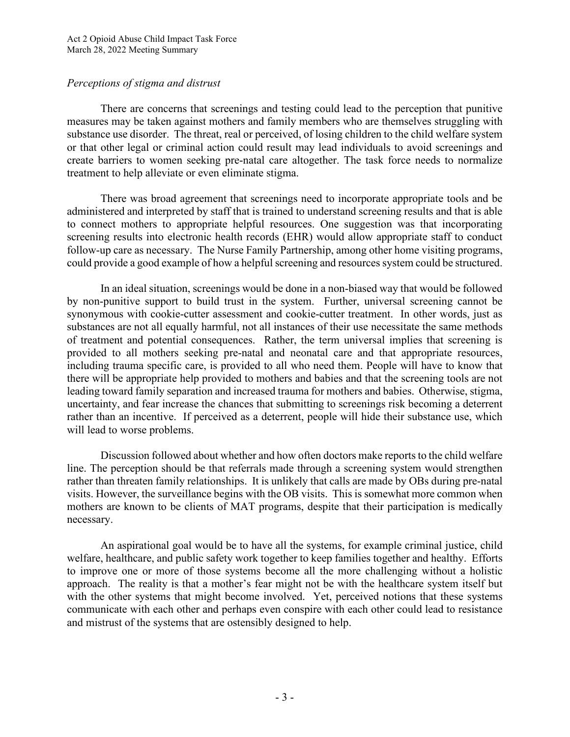# *Perceptions of stigma and distrust*

There are concerns that screenings and testing could lead to the perception that punitive measures may be taken against mothers and family members who are themselves struggling with substance use disorder. The threat, real or perceived, of losing children to the child welfare system or that other legal or criminal action could result may lead individuals to avoid screenings and create barriers to women seeking pre-natal care altogether. The task force needs to normalize treatment to help alleviate or even eliminate stigma.

There was broad agreement that screenings need to incorporate appropriate tools and be administered and interpreted by staff that is trained to understand screening results and that is able to connect mothers to appropriate helpful resources. One suggestion was that incorporating screening results into electronic health records (EHR) would allow appropriate staff to conduct follow-up care as necessary. The Nurse Family Partnership, among other home visiting programs, could provide a good example of how a helpful screening and resources system could be structured.

In an ideal situation, screenings would be done in a non-biased way that would be followed by non-punitive support to build trust in the system. Further, universal screening cannot be synonymous with cookie-cutter assessment and cookie-cutter treatment. In other words, just as substances are not all equally harmful, not all instances of their use necessitate the same methods of treatment and potential consequences. Rather, the term universal implies that screening is provided to all mothers seeking pre-natal and neonatal care and that appropriate resources, including trauma specific care, is provided to all who need them. People will have to know that there will be appropriate help provided to mothers and babies and that the screening tools are not leading toward family separation and increased trauma for mothers and babies. Otherwise, stigma, uncertainty, and fear increase the chances that submitting to screenings risk becoming a deterrent rather than an incentive. If perceived as a deterrent, people will hide their substance use, which will lead to worse problems.

Discussion followed about whether and how often doctors make reports to the child welfare line. The perception should be that referrals made through a screening system would strengthen rather than threaten family relationships. It is unlikely that calls are made by OBs during pre-natal visits. However, the surveillance begins with the OB visits. This is somewhat more common when mothers are known to be clients of MAT programs, despite that their participation is medically necessary.

An aspirational goal would be to have all the systems, for example criminal justice, child welfare, healthcare, and public safety work together to keep families together and healthy. Efforts to improve one or more of those systems become all the more challenging without a holistic approach. The reality is that a mother's fear might not be with the healthcare system itself but with the other systems that might become involved. Yet, perceived notions that these systems communicate with each other and perhaps even conspire with each other could lead to resistance and mistrust of the systems that are ostensibly designed to help.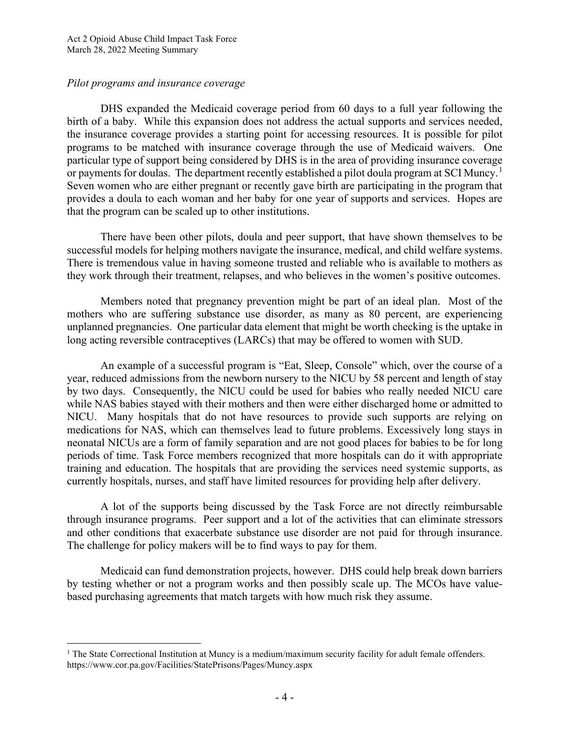### *Pilot programs and insurance coverage*

DHS expanded the Medicaid coverage period from 60 days to a full year following the birth of a baby. While this expansion does not address the actual supports and services needed, the insurance coverage provides a starting point for accessing resources. It is possible for pilot programs to be matched with insurance coverage through the use of Medicaid waivers. One particular type of support being considered by DHS is in the area of providing insurance coverage or payments for doulas. The department recently established a pilot doula program at SCI Muncy.<sup>[1](#page-3-0)</sup> Seven women who are either pregnant or recently gave birth are participating in the program that provides a doula to each woman and her baby for one year of supports and services. Hopes are that the program can be scaled up to other institutions.

There have been other pilots, doula and peer support, that have shown themselves to be successful models for helping mothers navigate the insurance, medical, and child welfare systems. There is tremendous value in having someone trusted and reliable who is available to mothers as they work through their treatment, relapses, and who believes in the women's positive outcomes.

Members noted that pregnancy prevention might be part of an ideal plan. Most of the mothers who are suffering substance use disorder, as many as 80 percent, are experiencing unplanned pregnancies. One particular data element that might be worth checking is the uptake in long acting reversible contraceptives (LARCs) that may be offered to women with SUD.

An example of a successful program is "Eat, Sleep, Console" which, over the course of a year, reduced admissions from the newborn nursery to the NICU by 58 percent and length of stay by two days. Consequently, the NICU could be used for babies who really needed NICU care while NAS babies stayed with their mothers and then were either discharged home or admitted to NICU. Many hospitals that do not have resources to provide such supports are relying on medications for NAS, which can themselves lead to future problems. Excessively long stays in neonatal NICUs are a form of family separation and are not good places for babies to be for long periods of time. Task Force members recognized that more hospitals can do it with appropriate training and education. The hospitals that are providing the services need systemic supports, as currently hospitals, nurses, and staff have limited resources for providing help after delivery.

A lot of the supports being discussed by the Task Force are not directly reimbursable through insurance programs. Peer support and a lot of the activities that can eliminate stressors and other conditions that exacerbate substance use disorder are not paid for through insurance. The challenge for policy makers will be to find ways to pay for them.

Medicaid can fund demonstration projects, however. DHS could help break down barriers by testing whether or not a program works and then possibly scale up. The MCOs have valuebased purchasing agreements that match targets with how much risk they assume.

<span id="page-3-0"></span><sup>&</sup>lt;sup>1</sup> The State Correctional Institution at Muncy is a medium/maximum security facility for adult female offenders. https://www.cor.pa.gov/Facilities/StatePrisons/Pages/Muncy.aspx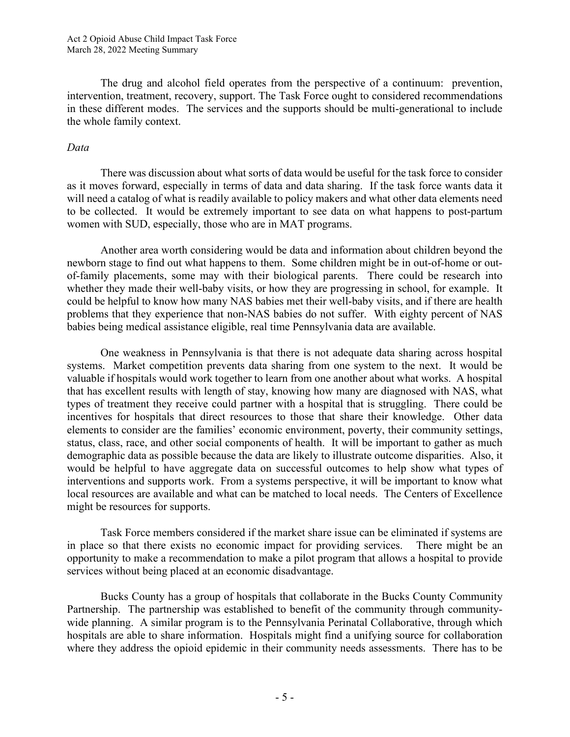The drug and alcohol field operates from the perspective of a continuum: prevention, intervention, treatment, recovery, support. The Task Force ought to considered recommendations in these different modes. The services and the supports should be multi-generational to include the whole family context.

### *Data*

There was discussion about what sorts of data would be useful for the task force to consider as it moves forward, especially in terms of data and data sharing. If the task force wants data it will need a catalog of what is readily available to policy makers and what other data elements need to be collected. It would be extremely important to see data on what happens to post-partum women with SUD, especially, those who are in MAT programs.

Another area worth considering would be data and information about children beyond the newborn stage to find out what happens to them. Some children might be in out-of-home or outof-family placements, some may with their biological parents. There could be research into whether they made their well-baby visits, or how they are progressing in school, for example. It could be helpful to know how many NAS babies met their well-baby visits, and if there are health problems that they experience that non-NAS babies do not suffer. With eighty percent of NAS babies being medical assistance eligible, real time Pennsylvania data are available.

One weakness in Pennsylvania is that there is not adequate data sharing across hospital systems. Market competition prevents data sharing from one system to the next. It would be valuable if hospitals would work together to learn from one another about what works. A hospital that has excellent results with length of stay, knowing how many are diagnosed with NAS, what types of treatment they receive could partner with a hospital that is struggling. There could be incentives for hospitals that direct resources to those that share their knowledge. Other data elements to consider are the families' economic environment, poverty, their community settings, status, class, race, and other social components of health. It will be important to gather as much demographic data as possible because the data are likely to illustrate outcome disparities. Also, it would be helpful to have aggregate data on successful outcomes to help show what types of interventions and supports work. From a systems perspective, it will be important to know what local resources are available and what can be matched to local needs. The Centers of Excellence might be resources for supports.

Task Force members considered if the market share issue can be eliminated if systems are in place so that there exists no economic impact for providing services. There might be an opportunity to make a recommendation to make a pilot program that allows a hospital to provide services without being placed at an economic disadvantage.

Bucks County has a group of hospitals that collaborate in the Bucks County Community Partnership. The partnership was established to benefit of the community through communitywide planning. A similar program is to the Pennsylvania Perinatal Collaborative, through which hospitals are able to share information. Hospitals might find a unifying source for collaboration where they address the opioid epidemic in their community needs assessments. There has to be